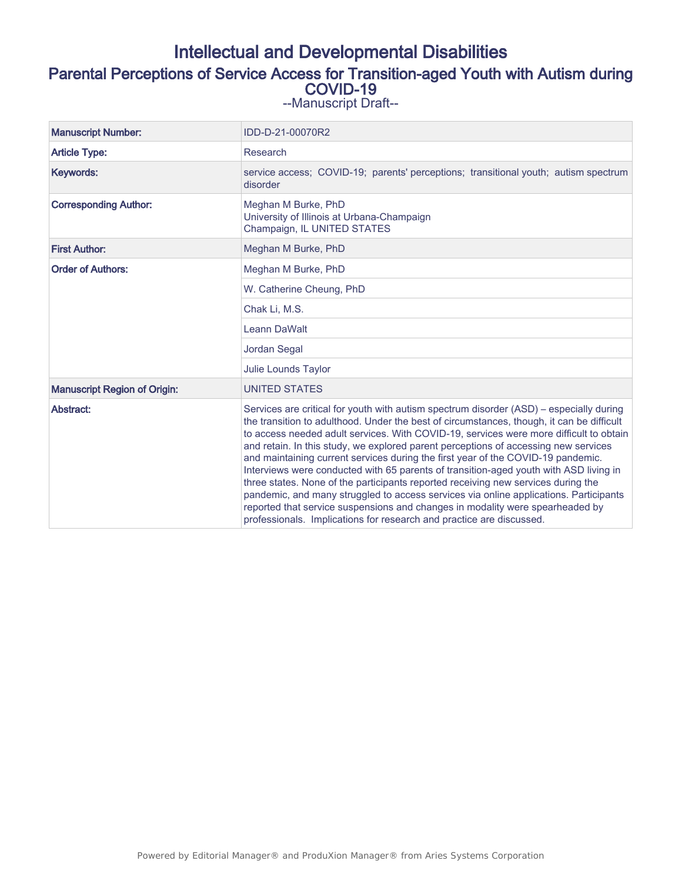# Intellectual and Developmental Disabilities Parental Perceptions of Service Access for Transition-aged Youth with Autism during COVID-19 --Manuscript Draft--

| <b>Manuscript Number:</b>           | IDD-D-21-00070R2                                                                                                                                                                                                                                                                                                                                                                                                                                                                                                                                                                                                                                                                                                                                                                                                                                                                          |
|-------------------------------------|-------------------------------------------------------------------------------------------------------------------------------------------------------------------------------------------------------------------------------------------------------------------------------------------------------------------------------------------------------------------------------------------------------------------------------------------------------------------------------------------------------------------------------------------------------------------------------------------------------------------------------------------------------------------------------------------------------------------------------------------------------------------------------------------------------------------------------------------------------------------------------------------|
| <b>Article Type:</b>                | Research                                                                                                                                                                                                                                                                                                                                                                                                                                                                                                                                                                                                                                                                                                                                                                                                                                                                                  |
| Keywords:                           | service access; COVID-19; parents' perceptions; transitional youth; autism spectrum<br>disorder                                                                                                                                                                                                                                                                                                                                                                                                                                                                                                                                                                                                                                                                                                                                                                                           |
| <b>Corresponding Author:</b>        | Meghan M Burke, PhD<br>University of Illinois at Urbana-Champaign<br>Champaign, IL UNITED STATES                                                                                                                                                                                                                                                                                                                                                                                                                                                                                                                                                                                                                                                                                                                                                                                          |
| <b>First Author:</b>                | Meghan M Burke, PhD                                                                                                                                                                                                                                                                                                                                                                                                                                                                                                                                                                                                                                                                                                                                                                                                                                                                       |
| <b>Order of Authors:</b>            | Meghan M Burke, PhD                                                                                                                                                                                                                                                                                                                                                                                                                                                                                                                                                                                                                                                                                                                                                                                                                                                                       |
|                                     | W. Catherine Cheung, PhD                                                                                                                                                                                                                                                                                                                                                                                                                                                                                                                                                                                                                                                                                                                                                                                                                                                                  |
|                                     | Chak Li, M.S.                                                                                                                                                                                                                                                                                                                                                                                                                                                                                                                                                                                                                                                                                                                                                                                                                                                                             |
|                                     | Leann DaWalt                                                                                                                                                                                                                                                                                                                                                                                                                                                                                                                                                                                                                                                                                                                                                                                                                                                                              |
|                                     | Jordan Segal                                                                                                                                                                                                                                                                                                                                                                                                                                                                                                                                                                                                                                                                                                                                                                                                                                                                              |
|                                     | Julie Lounds Taylor                                                                                                                                                                                                                                                                                                                                                                                                                                                                                                                                                                                                                                                                                                                                                                                                                                                                       |
| <b>Manuscript Region of Origin:</b> | <b>UNITED STATES</b>                                                                                                                                                                                                                                                                                                                                                                                                                                                                                                                                                                                                                                                                                                                                                                                                                                                                      |
| Abstract:                           | Services are critical for youth with autism spectrum disorder (ASD) – especially during<br>the transition to adulthood. Under the best of circumstances, though, it can be difficult<br>to access needed adult services. With COVID-19, services were more difficult to obtain<br>and retain. In this study, we explored parent perceptions of accessing new services<br>and maintaining current services during the first year of the COVID-19 pandemic.<br>Interviews were conducted with 65 parents of transition-aged youth with ASD living in<br>three states. None of the participants reported receiving new services during the<br>pandemic, and many struggled to access services via online applications. Participants<br>reported that service suspensions and changes in modality were spearheaded by<br>professionals. Implications for research and practice are discussed. |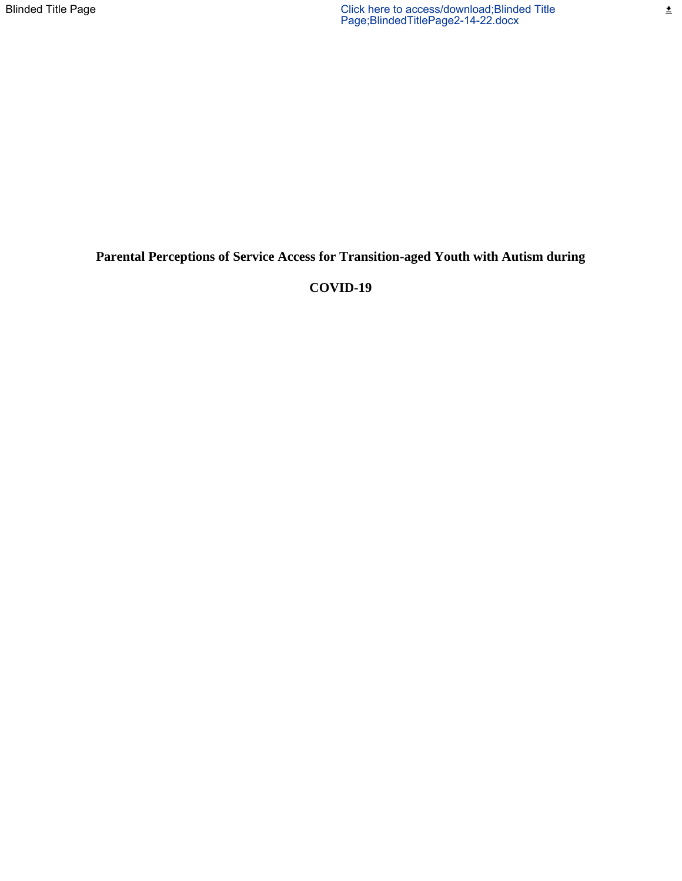$\pmb{\pm}$ 

### **Parental Perceptions of Service Access for Transition-aged Youth with Autism during**

### **COVID-19**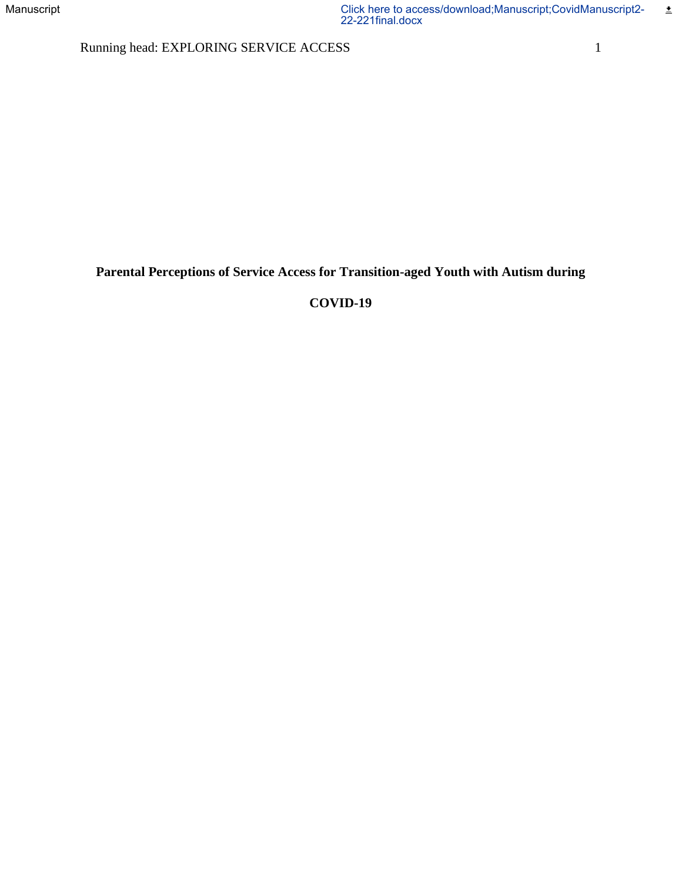Running head: EXPLORING SERVICE ACCESS 1

**Parental Perceptions of Service Access for Transition-aged Youth with Autism during** 

# **COVID-19**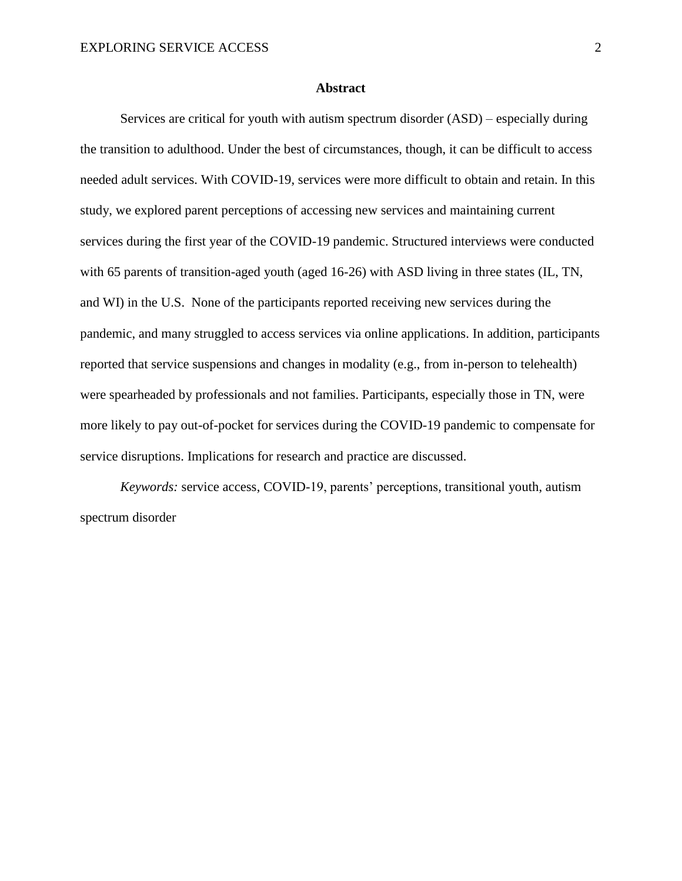#### **Abstract**

Services are critical for youth with autism spectrum disorder (ASD) – especially during the transition to adulthood. Under the best of circumstances, though, it can be difficult to access needed adult services. With COVID-19, services were more difficult to obtain and retain. In this study, we explored parent perceptions of accessing new services and maintaining current services during the first year of the COVID-19 pandemic. Structured interviews were conducted with 65 parents of transition-aged youth (aged 16-26) with ASD living in three states (IL, TN, and WI) in the U.S. None of the participants reported receiving new services during the pandemic, and many struggled to access services via online applications. In addition, participants reported that service suspensions and changes in modality (e.g., from in-person to telehealth) were spearheaded by professionals and not families. Participants, especially those in TN, were more likely to pay out-of-pocket for services during the COVID-19 pandemic to compensate for service disruptions. Implications for research and practice are discussed.

*Keywords:* service access, COVID-19, parents' perceptions, transitional youth, autism spectrum disorder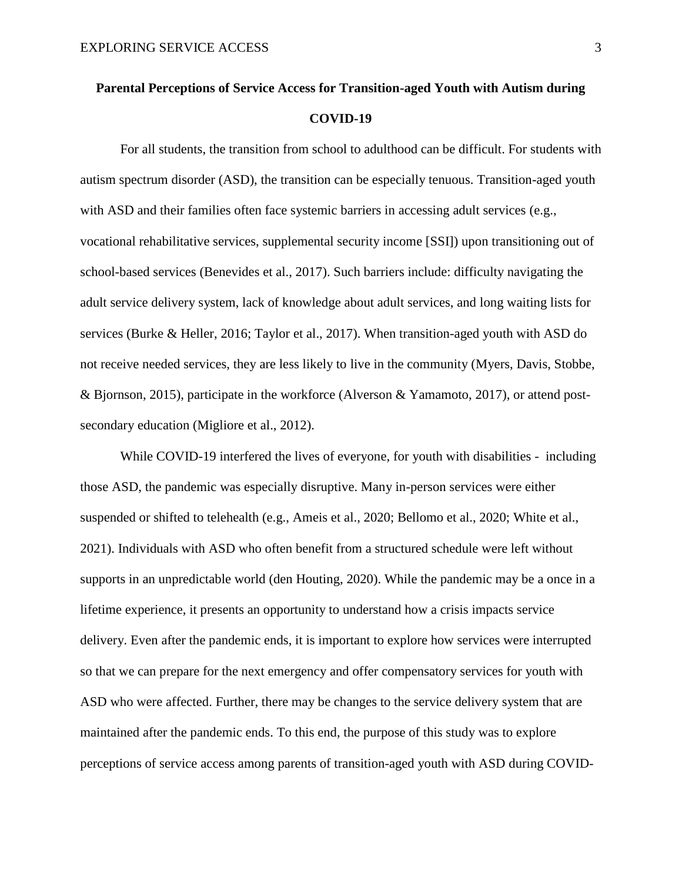# **Parental Perceptions of Service Access for Transition-aged Youth with Autism during COVID-19**

For all students, the transition from school to adulthood can be difficult. For students with autism spectrum disorder (ASD), the transition can be especially tenuous. Transition-aged youth with ASD and their families often face systemic barriers in accessing adult services (e.g., vocational rehabilitative services, supplemental security income [SSI]) upon transitioning out of school-based services (Benevides et al., 2017). Such barriers include: difficulty navigating the adult service delivery system, lack of knowledge about adult services, and long waiting lists for services (Burke & Heller, 2016; Taylor et al., 2017). When transition-aged youth with ASD do not receive needed services, they are less likely to live in the community (Myers, Davis, Stobbe, & Bjornson, 2015), participate in the workforce (Alverson & Yamamoto, 2017), or attend postsecondary education (Migliore et al., 2012).

While COVID-19 interfered the lives of everyone, for youth with disabilities - including those ASD, the pandemic was especially disruptive. Many in-person services were either suspended or shifted to telehealth (e.g., Ameis et al., 2020; Bellomo et al., 2020; White et al., 2021). Individuals with ASD who often benefit from a structured schedule were left without supports in an unpredictable world (den Houting, 2020). While the pandemic may be a once in a lifetime experience, it presents an opportunity to understand how a crisis impacts service delivery. Even after the pandemic ends, it is important to explore how services were interrupted so that we can prepare for the next emergency and offer compensatory services for youth with ASD who were affected. Further, there may be changes to the service delivery system that are maintained after the pandemic ends. To this end, the purpose of this study was to explore perceptions of service access among parents of transition-aged youth with ASD during COVID-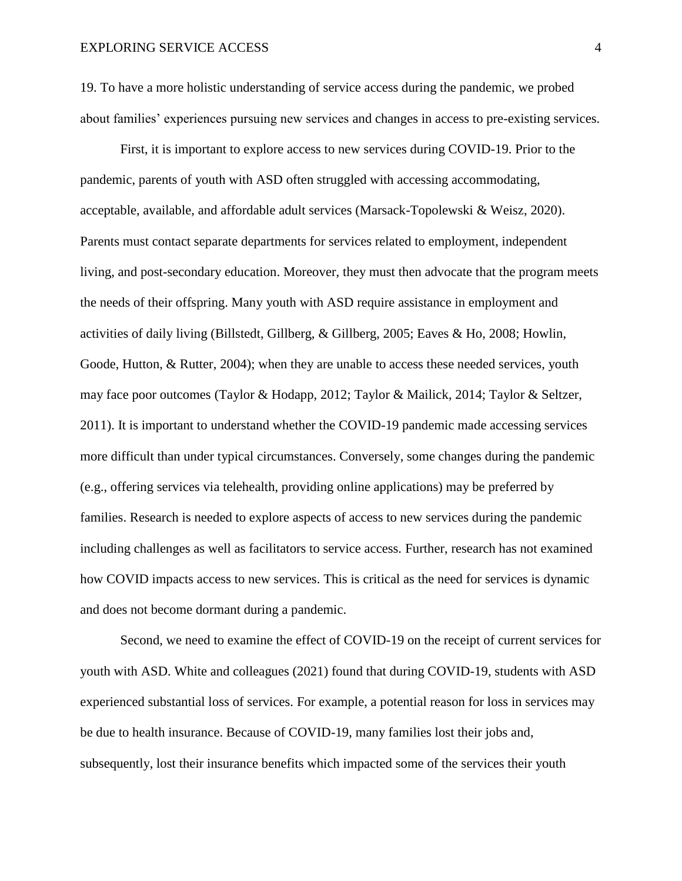19. To have a more holistic understanding of service access during the pandemic, we probed about families' experiences pursuing new services and changes in access to pre-existing services.

First, it is important to explore access to new services during COVID-19. Prior to the pandemic, parents of youth with ASD often struggled with accessing accommodating, acceptable, available, and affordable adult services (Marsack-Topolewski & Weisz, 2020). Parents must contact separate departments for services related to employment, independent living, and post-secondary education. Moreover, they must then advocate that the program meets the needs of their offspring. Many youth with ASD require assistance in employment and activities of daily living (Billstedt, Gillberg, & Gillberg, 2005; Eaves & Ho, 2008; Howlin, Goode, Hutton, & Rutter, 2004); when they are unable to access these needed services, youth may face poor outcomes (Taylor & Hodapp, 2012; Taylor & Mailick, 2014; Taylor & Seltzer, 2011). It is important to understand whether the COVID-19 pandemic made accessing services more difficult than under typical circumstances. Conversely, some changes during the pandemic (e.g., offering services via telehealth, providing online applications) may be preferred by families. Research is needed to explore aspects of access to new services during the pandemic including challenges as well as facilitators to service access. Further, research has not examined how COVID impacts access to new services. This is critical as the need for services is dynamic and does not become dormant during a pandemic.

Second, we need to examine the effect of COVID-19 on the receipt of current services for youth with ASD. White and colleagues (2021) found that during COVID-19, students with ASD experienced substantial loss of services. For example, a potential reason for loss in services may be due to health insurance. Because of COVID-19, many families lost their jobs and, subsequently, lost their insurance benefits which impacted some of the services their youth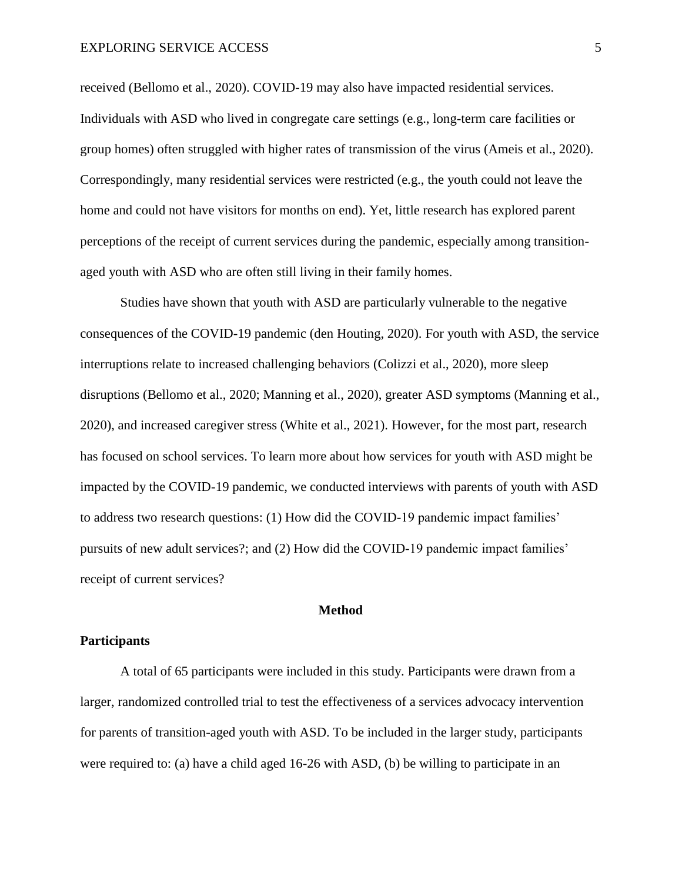received (Bellomo et al., 2020). COVID-19 may also have impacted residential services. Individuals with ASD who lived in congregate care settings (e.g., long-term care facilities or group homes) often struggled with higher rates of transmission of the virus (Ameis et al., 2020). Correspondingly, many residential services were restricted (e.g., the youth could not leave the home and could not have visitors for months on end). Yet, little research has explored parent perceptions of the receipt of current services during the pandemic, especially among transitionaged youth with ASD who are often still living in their family homes.

Studies have shown that youth with ASD are particularly vulnerable to the negative consequences of the COVID-19 pandemic (den Houting, 2020). For youth with ASD, the service interruptions relate to increased challenging behaviors (Colizzi et al., 2020), more sleep disruptions (Bellomo et al., 2020; Manning et al., 2020), greater ASD symptoms (Manning et al., 2020), and increased caregiver stress (White et al., 2021). However, for the most part, research has focused on school services. To learn more about how services for youth with ASD might be impacted by the COVID-19 pandemic, we conducted interviews with parents of youth with ASD to address two research questions: (1) How did the COVID-19 pandemic impact families' pursuits of new adult services?; and (2) How did the COVID-19 pandemic impact families' receipt of current services?

#### **Method**

#### **Participants**

A total of 65 participants were included in this study. Participants were drawn from a larger, randomized controlled trial to test the effectiveness of a services advocacy intervention for parents of transition-aged youth with ASD. To be included in the larger study, participants were required to: (a) have a child aged 16-26 with ASD, (b) be willing to participate in an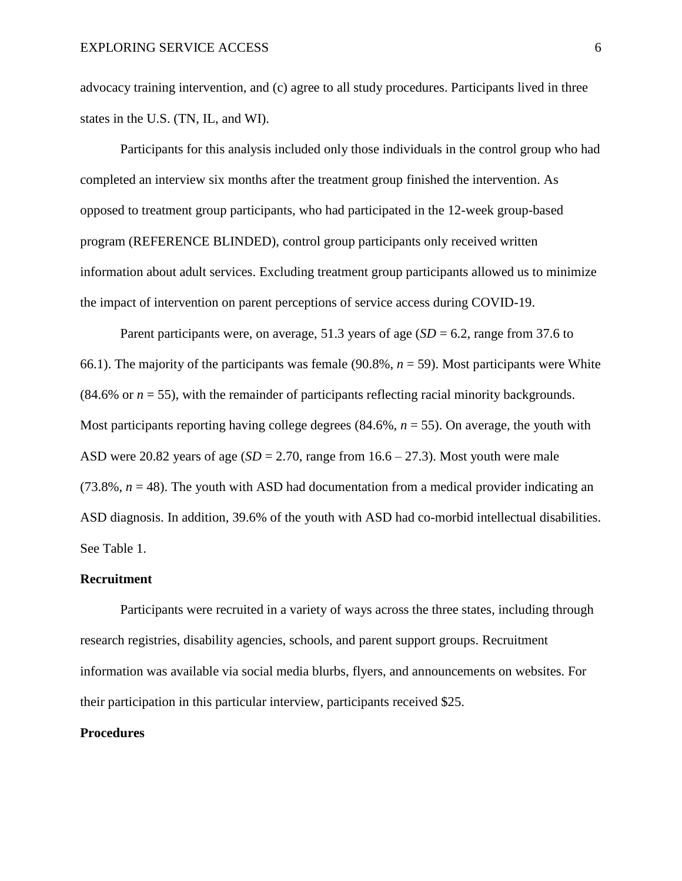advocacy training intervention, and (c) agree to all study procedures. Participants lived in three states in the U.S. (TN, IL, and WI).

Participants for this analysis included only those individuals in the control group who had completed an interview six months after the treatment group finished the intervention. As opposed to treatment group participants, who had participated in the 12-week group-based program (REFERENCE BLINDED), control group participants only received written information about adult services. Excluding treatment group participants allowed us to minimize the impact of intervention on parent perceptions of service access during COVID-19.

Parent participants were, on average, 51.3 years of age  $(SD = 6.2$ , range from 37.6 to 66.1). The majority of the participants was female  $(90.8\%, n = 59)$ . Most participants were White (84.6% or  $n = 55$ ), with the remainder of participants reflecting racial minority backgrounds. Most participants reporting having college degrees  $(84.6\%, n = 55)$ . On average, the youth with ASD were 20.82 years of age  $(SD = 2.70$ , range from  $16.6 - 27.3$ ). Most youth were male (73.8%,  $n = 48$ ). The youth with ASD had documentation from a medical provider indicating an ASD diagnosis. In addition, 39.6% of the youth with ASD had co-morbid intellectual disabilities. See Table 1.

#### **Recruitment**

Participants were recruited in a variety of ways across the three states, including through research registries, disability agencies, schools, and parent support groups. Recruitment information was available via social media blurbs, flyers, and announcements on websites. For their participation in this particular interview, participants received \$25.

#### **Procedures**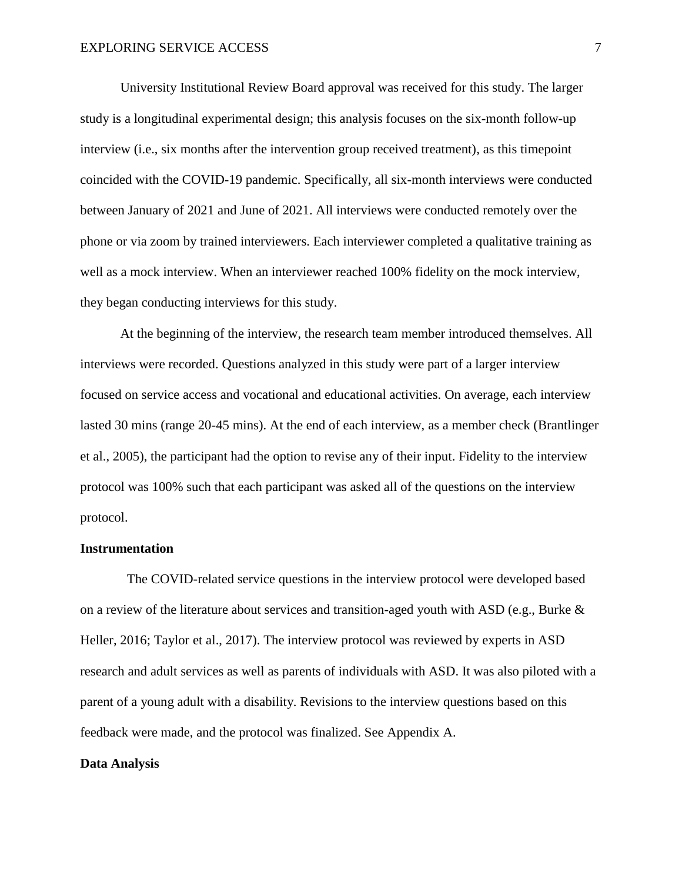University Institutional Review Board approval was received for this study. The larger study is a longitudinal experimental design; this analysis focuses on the six-month follow-up interview (i.e., six months after the intervention group received treatment), as this timepoint coincided with the COVID-19 pandemic. Specifically, all six-month interviews were conducted between January of 2021 and June of 2021. All interviews were conducted remotely over the phone or via zoom by trained interviewers. Each interviewer completed a qualitative training as well as a mock interview. When an interviewer reached 100% fidelity on the mock interview, they began conducting interviews for this study.

At the beginning of the interview, the research team member introduced themselves. All interviews were recorded. Questions analyzed in this study were part of a larger interview focused on service access and vocational and educational activities. On average, each interview lasted 30 mins (range 20-45 mins). At the end of each interview, as a member check (Brantlinger et al., 2005), the participant had the option to revise any of their input. Fidelity to the interview protocol was 100% such that each participant was asked all of the questions on the interview protocol.

#### **Instrumentation**

 The COVID-related service questions in the interview protocol were developed based on a review of the literature about services and transition-aged youth with ASD (e.g., Burke  $\&$ Heller, 2016; Taylor et al., 2017). The interview protocol was reviewed by experts in ASD research and adult services as well as parents of individuals with ASD. It was also piloted with a parent of a young adult with a disability. Revisions to the interview questions based on this feedback were made, and the protocol was finalized. See Appendix A.

#### **Data Analysis**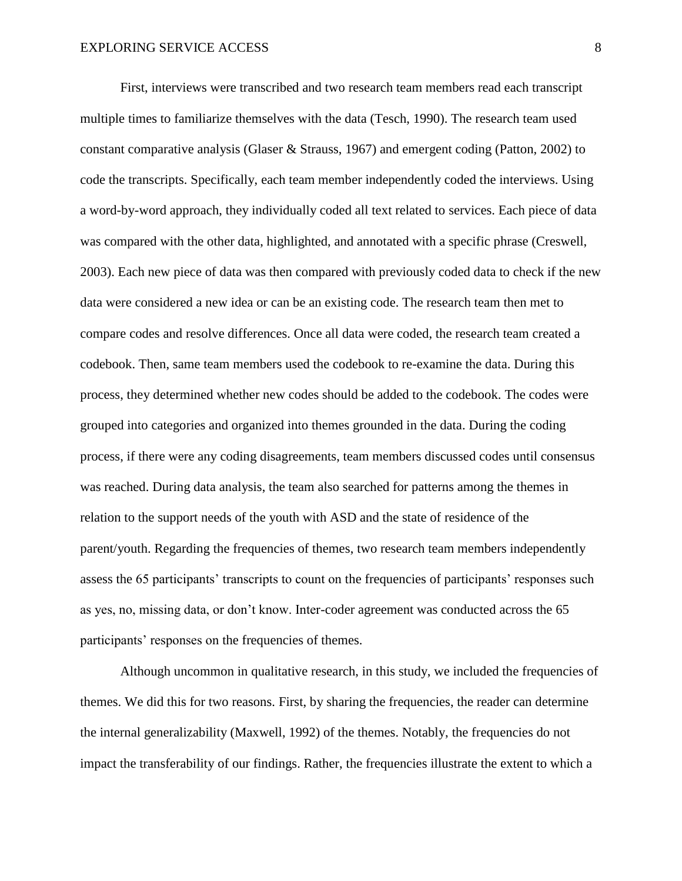First, interviews were transcribed and two research team members read each transcript multiple times to familiarize themselves with the data (Tesch, 1990). The research team used constant comparative analysis (Glaser & Strauss, 1967) and emergent coding (Patton, 2002) to code the transcripts. Specifically, each team member independently coded the interviews. Using a word-by-word approach, they individually coded all text related to services. Each piece of data was compared with the other data, highlighted, and annotated with a specific phrase (Creswell, 2003). Each new piece of data was then compared with previously coded data to check if the new data were considered a new idea or can be an existing code. The research team then met to compare codes and resolve differences. Once all data were coded, the research team created a codebook. Then, same team members used the codebook to re-examine the data. During this process, they determined whether new codes should be added to the codebook. The codes were grouped into categories and organized into themes grounded in the data. During the coding process, if there were any coding disagreements, team members discussed codes until consensus was reached. During data analysis, the team also searched for patterns among the themes in relation to the support needs of the youth with ASD and the state of residence of the parent/youth. Regarding the frequencies of themes, two research team members independently assess the 65 participants' transcripts to count on the frequencies of participants' responses such as yes, no, missing data, or don't know. Inter-coder agreement was conducted across the 65 participants' responses on the frequencies of themes.

Although uncommon in qualitative research, in this study, we included the frequencies of themes. We did this for two reasons. First, by sharing the frequencies, the reader can determine the internal generalizability (Maxwell, 1992) of the themes. Notably, the frequencies do not impact the transferability of our findings. Rather, the frequencies illustrate the extent to which a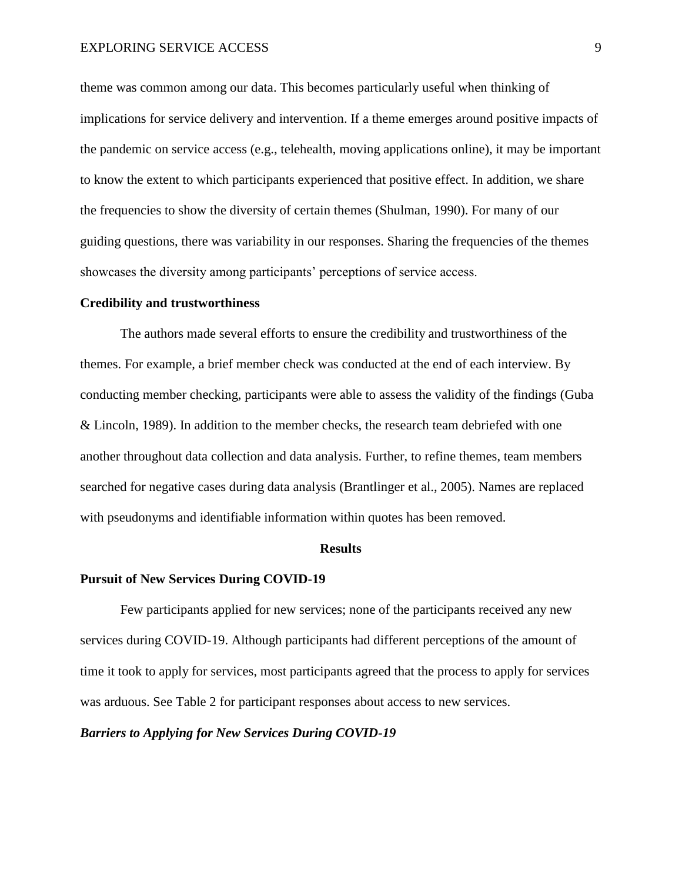theme was common among our data. This becomes particularly useful when thinking of implications for service delivery and intervention. If a theme emerges around positive impacts of the pandemic on service access (e.g., telehealth, moving applications online), it may be important to know the extent to which participants experienced that positive effect. In addition, we share the frequencies to show the diversity of certain themes (Shulman, 1990). For many of our guiding questions, there was variability in our responses. Sharing the frequencies of the themes showcases the diversity among participants' perceptions of service access.

#### **Credibility and trustworthiness**

The authors made several efforts to ensure the credibility and trustworthiness of the themes. For example, a brief member check was conducted at the end of each interview. By conducting member checking, participants were able to assess the validity of the findings (Guba & Lincoln, 1989). In addition to the member checks, the research team debriefed with one another throughout data collection and data analysis. Further, to refine themes, team members searched for negative cases during data analysis (Brantlinger et al., 2005). Names are replaced with pseudonyms and identifiable information within quotes has been removed.

#### **Results**

#### **Pursuit of New Services During COVID-19**

Few participants applied for new services; none of the participants received any new services during COVID-19. Although participants had different perceptions of the amount of time it took to apply for services, most participants agreed that the process to apply for services was arduous. See Table 2 for participant responses about access to new services.

### *Barriers to Applying for New Services During COVID-19*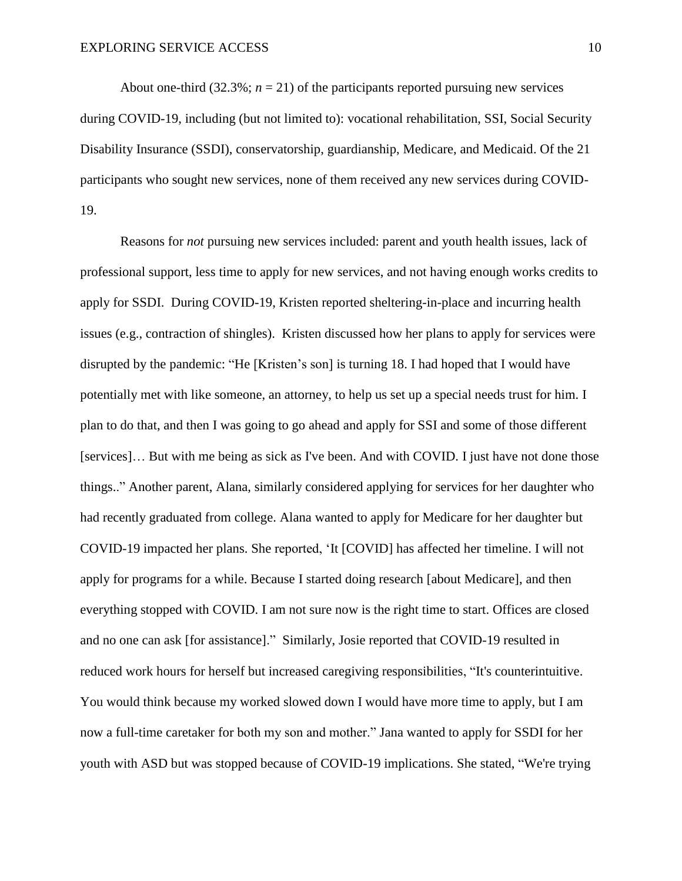About one-third (32.3%;  $n = 21$ ) of the participants reported pursuing new services during COVID-19, including (but not limited to): vocational rehabilitation, SSI, Social Security Disability Insurance (SSDI), conservatorship, guardianship, Medicare, and Medicaid. Of the 21 participants who sought new services, none of them received any new services during COVID-19.

Reasons for *not* pursuing new services included: parent and youth health issues, lack of professional support, less time to apply for new services, and not having enough works credits to apply for SSDI. During COVID-19, Kristen reported sheltering-in-place and incurring health issues (e.g., contraction of shingles). Kristen discussed how her plans to apply for services were disrupted by the pandemic: "He [Kristen's son] is turning 18. I had hoped that I would have potentially met with like someone, an attorney, to help us set up a special needs trust for him. I plan to do that, and then I was going to go ahead and apply for SSI and some of those different [services]… But with me being as sick as I've been. And with COVID. I just have not done those things.." Another parent, Alana, similarly considered applying for services for her daughter who had recently graduated from college. Alana wanted to apply for Medicare for her daughter but COVID-19 impacted her plans. She reported, 'It [COVID] has affected her timeline. I will not apply for programs for a while. Because I started doing research [about Medicare], and then everything stopped with COVID. I am not sure now is the right time to start. Offices are closed and no one can ask [for assistance]." Similarly, Josie reported that COVID-19 resulted in reduced work hours for herself but increased caregiving responsibilities, "It's counterintuitive. You would think because my worked slowed down I would have more time to apply, but I am now a full-time caretaker for both my son and mother." Jana wanted to apply for SSDI for her youth with ASD but was stopped because of COVID-19 implications. She stated, "We're trying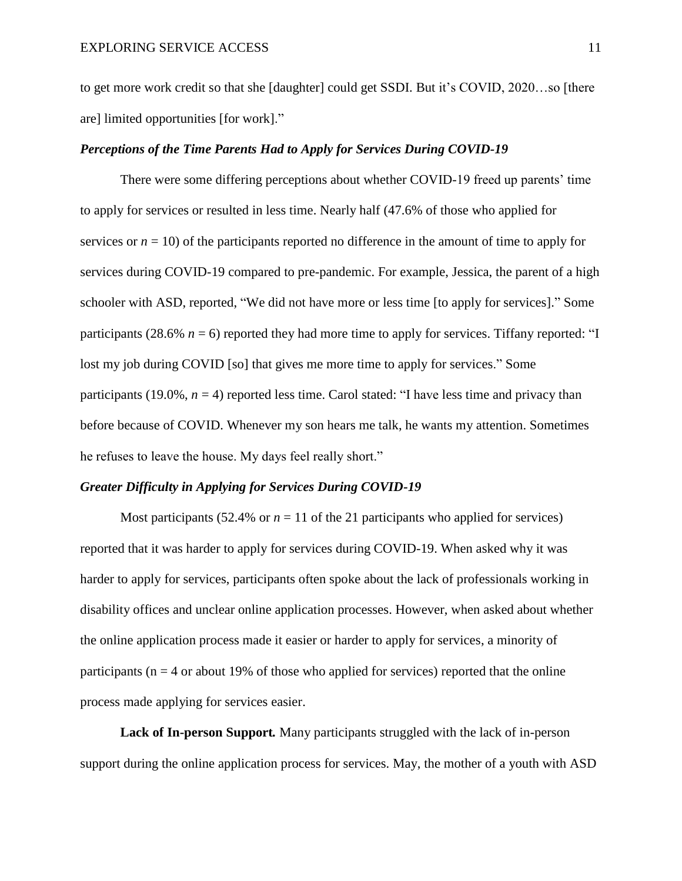to get more work credit so that she [daughter] could get SSDI. But it's COVID, 2020…so [there are] limited opportunities [for work]."

### *Perceptions of the Time Parents Had to Apply for Services During COVID-19*

There were some differing perceptions about whether COVID-19 freed up parents' time to apply for services or resulted in less time. Nearly half (47.6% of those who applied for services or  $n = 10$ ) of the participants reported no difference in the amount of time to apply for services during COVID-19 compared to pre-pandemic. For example, Jessica, the parent of a high schooler with ASD, reported, "We did not have more or less time [to apply for services]." Some participants (28.6%  $n = 6$ ) reported they had more time to apply for services. Tiffany reported: "I lost my job during COVID [so] that gives me more time to apply for services." Some participants (19.0%,  $n = 4$ ) reported less time. Carol stated: "I have less time and privacy than before because of COVID. Whenever my son hears me talk, he wants my attention. Sometimes he refuses to leave the house. My days feel really short."

### *Greater Difficulty in Applying for Services During COVID-19*

Most participants (52.4% or  $n = 11$  of the 21 participants who applied for services) reported that it was harder to apply for services during COVID-19. When asked why it was harder to apply for services, participants often spoke about the lack of professionals working in disability offices and unclear online application processes. However, when asked about whether the online application process made it easier or harder to apply for services, a minority of participants ( $n = 4$  or about 19% of those who applied for services) reported that the online process made applying for services easier.

**Lack of In-person Support***.* Many participants struggled with the lack of in-person support during the online application process for services. May, the mother of a youth with ASD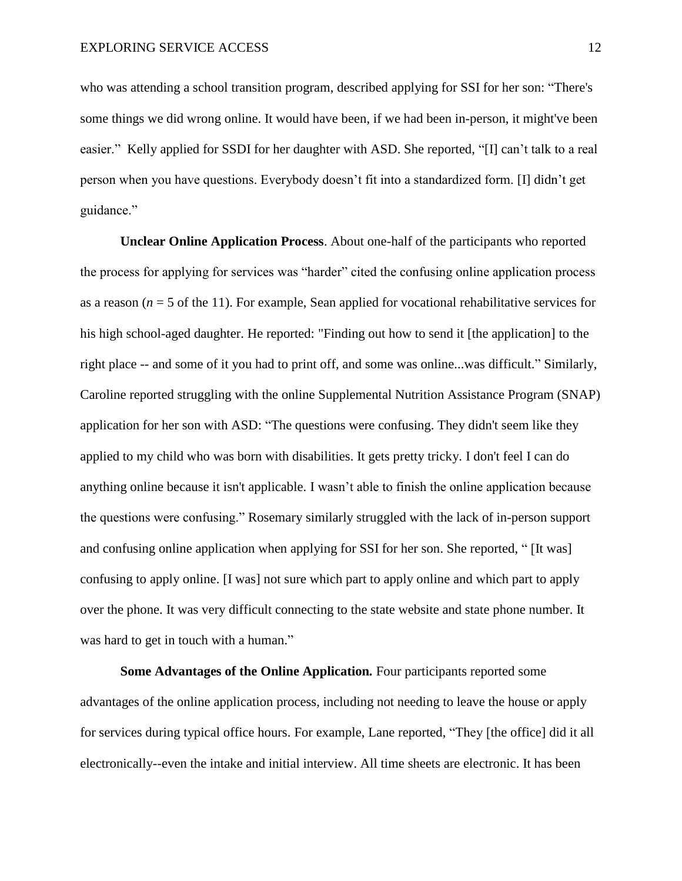who was attending a school transition program, described applying for SSI for her son: "There's some things we did wrong online. It would have been, if we had been in-person, it might've been easier." Kelly applied for SSDI for her daughter with ASD. She reported, "[I] can't talk to a real person when you have questions. Everybody doesn't fit into a standardized form. [I] didn't get guidance."

**Unclear Online Application Process**. About one-half of the participants who reported the process for applying for services was "harder" cited the confusing online application process as a reason  $(n = 5$  of the 11). For example, Sean applied for vocational rehabilitative services for his high school-aged daughter. He reported: "Finding out how to send it [the application] to the right place -- and some of it you had to print off, and some was online...was difficult." Similarly, Caroline reported struggling with the online Supplemental Nutrition Assistance Program (SNAP) application for her son with ASD: "The questions were confusing. They didn't seem like they applied to my child who was born with disabilities. It gets pretty tricky. I don't feel I can do anything online because it isn't applicable. I wasn't able to finish the online application because the questions were confusing." Rosemary similarly struggled with the lack of in-person support and confusing online application when applying for SSI for her son. She reported, " [It was] confusing to apply online. [I was] not sure which part to apply online and which part to apply over the phone. It was very difficult connecting to the state website and state phone number. It was hard to get in touch with a human."

**Some Advantages of the Online Application***.* Four participants reported some advantages of the online application process, including not needing to leave the house or apply for services during typical office hours. For example, Lane reported, "They [the office] did it all electronically--even the intake and initial interview. All time sheets are electronic. It has been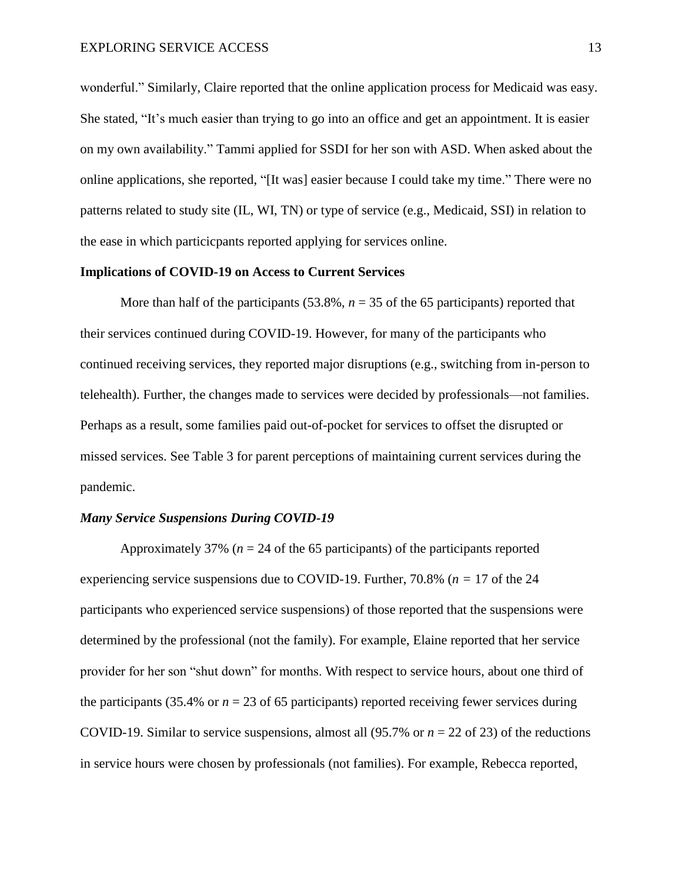wonderful." Similarly, Claire reported that the online application process for Medicaid was easy. She stated, "It's much easier than trying to go into an office and get an appointment. It is easier on my own availability." Tammi applied for SSDI for her son with ASD. When asked about the online applications, she reported, "[It was] easier because I could take my time." There were no patterns related to study site (IL, WI, TN) or type of service (e.g., Medicaid, SSI) in relation to the ease in which particicpants reported applying for services online.

#### **Implications of COVID-19 on Access to Current Services**

More than half of the participants  $(53.8\%, n = 35 \text{ of the } 65 \text{ participants})$  reported that their services continued during COVID-19. However, for many of the participants who continued receiving services, they reported major disruptions (e.g., switching from in-person to telehealth). Further, the changes made to services were decided by professionals—not families. Perhaps as a result, some families paid out-of-pocket for services to offset the disrupted or missed services. See Table 3 for parent perceptions of maintaining current services during the pandemic.

#### *Many Service Suspensions During COVID-19*

Approximately 37% ( $n = 24$  of the 65 participants) of the participants reported experiencing service suspensions due to COVID-19. Further, 70.8% (*n =* 17 of the 24 participants who experienced service suspensions) of those reported that the suspensions were determined by the professional (not the family). For example, Elaine reported that her service provider for her son "shut down" for months. With respect to service hours, about one third of the participants (35.4% or  $n = 23$  of 65 participants) reported receiving fewer services during COVID-19. Similar to service suspensions, almost all  $(95.7\% \text{ or } n = 22 \text{ of } 23)$  of the reductions in service hours were chosen by professionals (not families). For example, Rebecca reported,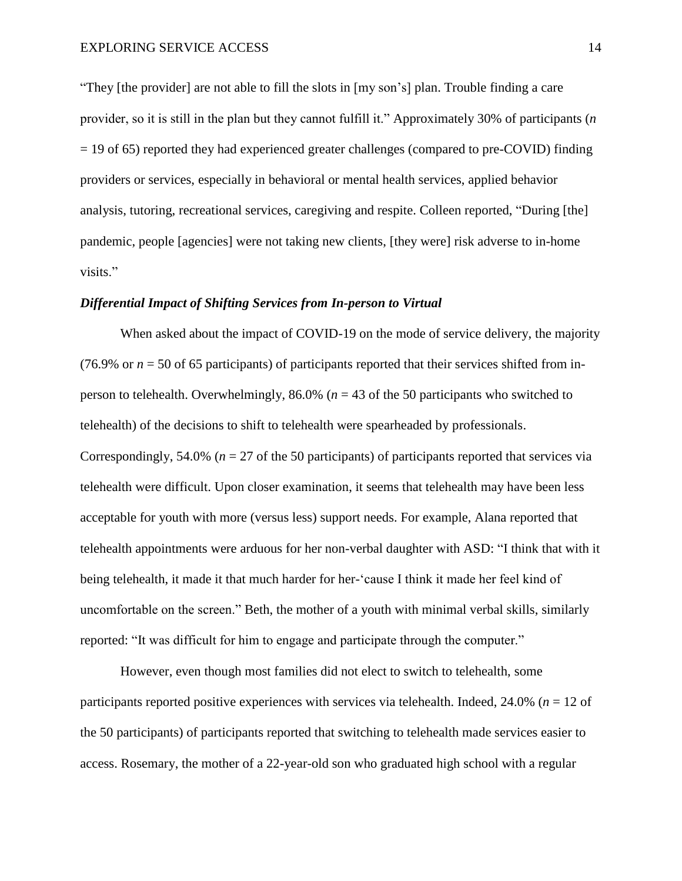"They [the provider] are not able to fill the slots in [my son's] plan. Trouble finding a care provider, so it is still in the plan but they cannot fulfill it." Approximately 30% of participants (*n* = 19 of 65) reported they had experienced greater challenges (compared to pre-COVID) finding providers or services, especially in behavioral or mental health services, applied behavior analysis, tutoring, recreational services, caregiving and respite. Colleen reported, "During [the] pandemic, people [agencies] were not taking new clients, [they were] risk adverse to in-home visits."

#### *Differential Impact of Shifting Services from In-person to Virtual*

When asked about the impact of COVID-19 on the mode of service delivery, the majority (76.9% or  $n = 50$  of 65 participants) of participants reported that their services shifted from inperson to telehealth. Overwhelmingly, 86.0% (*n* = 43 of the 50 participants who switched to telehealth) of the decisions to shift to telehealth were spearheaded by professionals. Correspondingly, 54.0% (*n* = 27 of the 50 participants) of participants reported that services via telehealth were difficult. Upon closer examination, it seems that telehealth may have been less acceptable for youth with more (versus less) support needs. For example, Alana reported that telehealth appointments were arduous for her non-verbal daughter with ASD: "I think that with it being telehealth, it made it that much harder for her-'cause I think it made her feel kind of uncomfortable on the screen." Beth, the mother of a youth with minimal verbal skills, similarly reported: "It was difficult for him to engage and participate through the computer."

However, even though most families did not elect to switch to telehealth, some participants reported positive experiences with services via telehealth. Indeed, 24.0% (*n* = 12 of the 50 participants) of participants reported that switching to telehealth made services easier to access. Rosemary, the mother of a 22-year-old son who graduated high school with a regular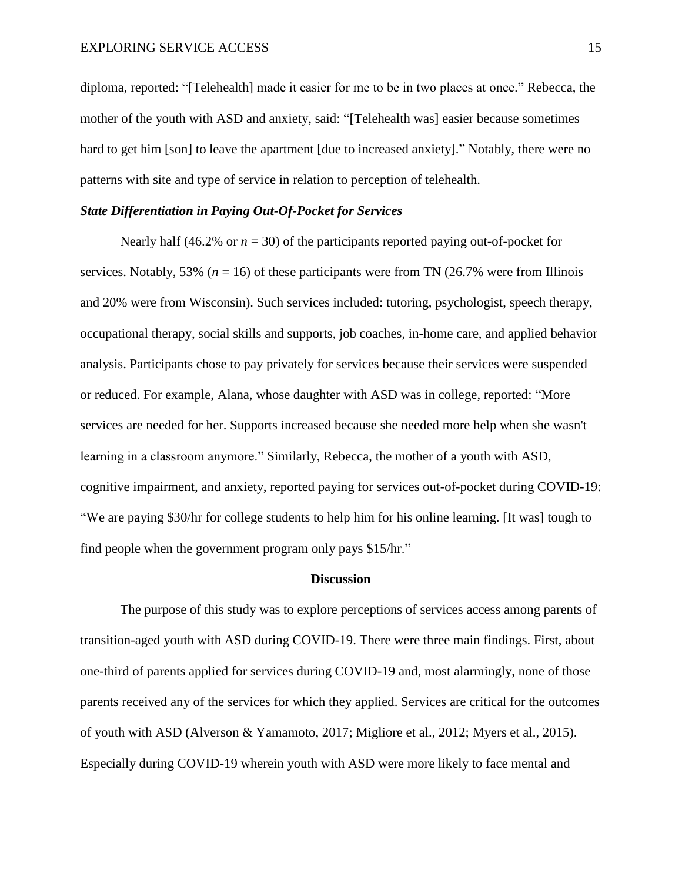diploma, reported: "[Telehealth] made it easier for me to be in two places at once." Rebecca, the mother of the youth with ASD and anxiety, said: "[Telehealth was] easier because sometimes hard to get him [son] to leave the apartment [due to increased anxiety]." Notably, there were no patterns with site and type of service in relation to perception of telehealth.

### *State Differentiation in Paying Out-Of-Pocket for Services*

Nearly half (46.2% or  $n = 30$ ) of the participants reported paying out-of-pocket for services. Notably, 53% ( $n = 16$ ) of these participants were from TN (26.7% were from Illinois and 20% were from Wisconsin). Such services included: tutoring, psychologist, speech therapy, occupational therapy, social skills and supports, job coaches, in-home care, and applied behavior analysis. Participants chose to pay privately for services because their services were suspended or reduced. For example, Alana, whose daughter with ASD was in college, reported: "More services are needed for her. Supports increased because she needed more help when she wasn't learning in a classroom anymore." Similarly, Rebecca, the mother of a youth with ASD, cognitive impairment, and anxiety, reported paying for services out-of-pocket during COVID-19: "We are paying \$30/hr for college students to help him for his online learning. [It was] tough to find people when the government program only pays \$15/hr."

#### **Discussion**

The purpose of this study was to explore perceptions of services access among parents of transition-aged youth with ASD during COVID-19. There were three main findings. First, about one-third of parents applied for services during COVID-19 and, most alarmingly, none of those parents received any of the services for which they applied. Services are critical for the outcomes of youth with ASD (Alverson & Yamamoto, 2017; Migliore et al., 2012; Myers et al., 2015). Especially during COVID-19 wherein youth with ASD were more likely to face mental and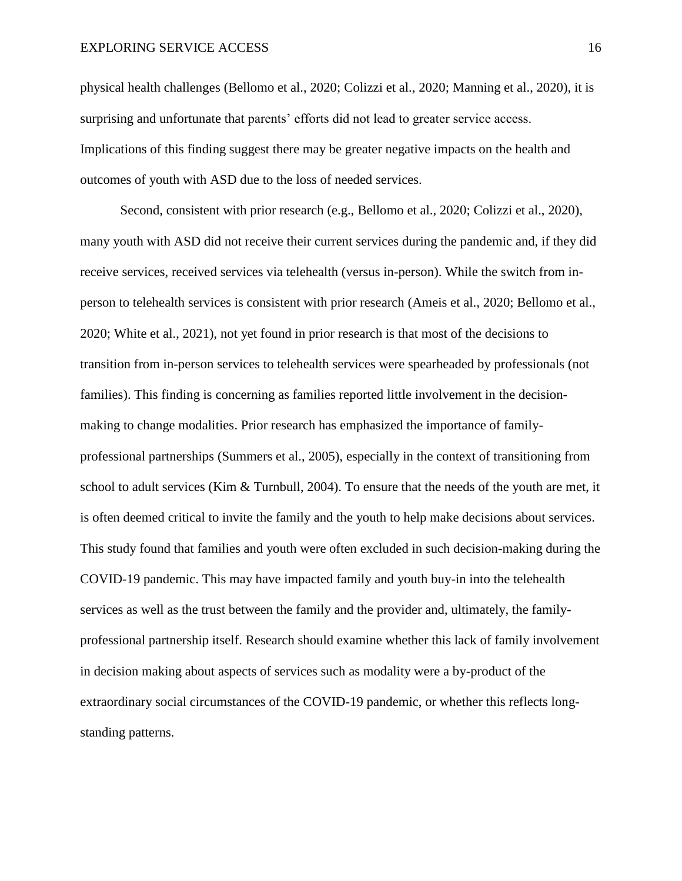physical health challenges (Bellomo et al., 2020; Colizzi et al., 2020; Manning et al., 2020), it is surprising and unfortunate that parents' efforts did not lead to greater service access. Implications of this finding suggest there may be greater negative impacts on the health and outcomes of youth with ASD due to the loss of needed services.

Second, consistent with prior research (e.g., Bellomo et al., 2020; Colizzi et al., 2020), many youth with ASD did not receive their current services during the pandemic and, if they did receive services, received services via telehealth (versus in-person). While the switch from inperson to telehealth services is consistent with prior research (Ameis et al., 2020; Bellomo et al., 2020; White et al., 2021), not yet found in prior research is that most of the decisions to transition from in-person services to telehealth services were spearheaded by professionals (not families). This finding is concerning as families reported little involvement in the decisionmaking to change modalities. Prior research has emphasized the importance of familyprofessional partnerships (Summers et al., 2005), especially in the context of transitioning from school to adult services (Kim & Turnbull, 2004). To ensure that the needs of the youth are met, it is often deemed critical to invite the family and the youth to help make decisions about services. This study found that families and youth were often excluded in such decision-making during the COVID-19 pandemic. This may have impacted family and youth buy-in into the telehealth services as well as the trust between the family and the provider and, ultimately, the familyprofessional partnership itself. Research should examine whether this lack of family involvement in decision making about aspects of services such as modality were a by-product of the extraordinary social circumstances of the COVID-19 pandemic, or whether this reflects longstanding patterns.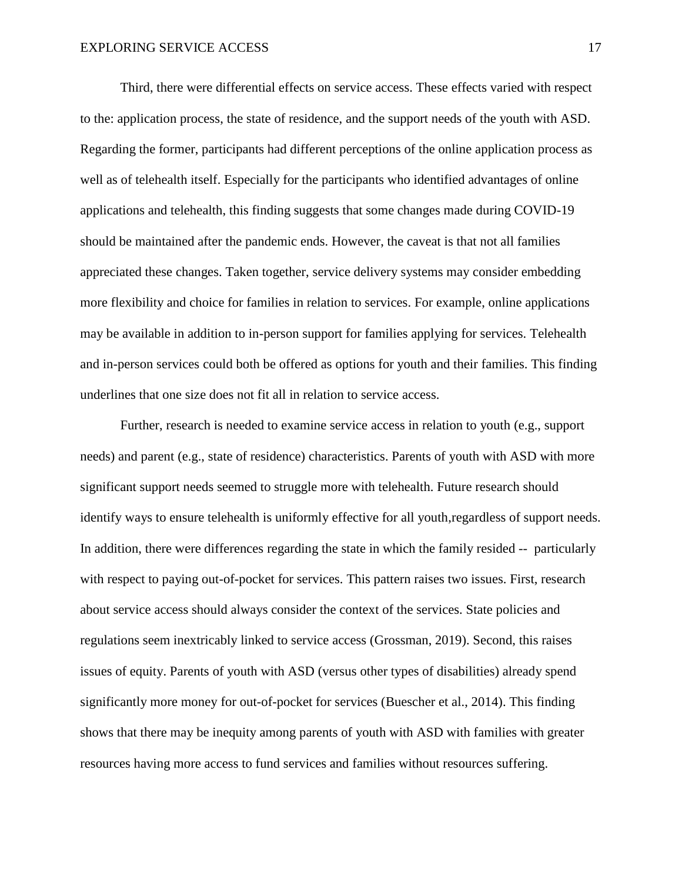Third, there were differential effects on service access. These effects varied with respect to the: application process, the state of residence, and the support needs of the youth with ASD. Regarding the former, participants had different perceptions of the online application process as well as of telehealth itself. Especially for the participants who identified advantages of online applications and telehealth, this finding suggests that some changes made during COVID-19 should be maintained after the pandemic ends. However, the caveat is that not all families appreciated these changes. Taken together, service delivery systems may consider embedding more flexibility and choice for families in relation to services. For example, online applications may be available in addition to in-person support for families applying for services. Telehealth and in-person services could both be offered as options for youth and their families. This finding underlines that one size does not fit all in relation to service access.

Further, research is needed to examine service access in relation to youth (e.g., support needs) and parent (e.g., state of residence) characteristics. Parents of youth with ASD with more significant support needs seemed to struggle more with telehealth. Future research should identify ways to ensure telehealth is uniformly effective for all youth,regardless of support needs. In addition, there were differences regarding the state in which the family resided -- particularly with respect to paying out-of-pocket for services. This pattern raises two issues. First, research about service access should always consider the context of the services. State policies and regulations seem inextricably linked to service access (Grossman, 2019). Second, this raises issues of equity. Parents of youth with ASD (versus other types of disabilities) already spend significantly more money for out-of-pocket for services (Buescher et al., 2014). This finding shows that there may be inequity among parents of youth with ASD with families with greater resources having more access to fund services and families without resources suffering.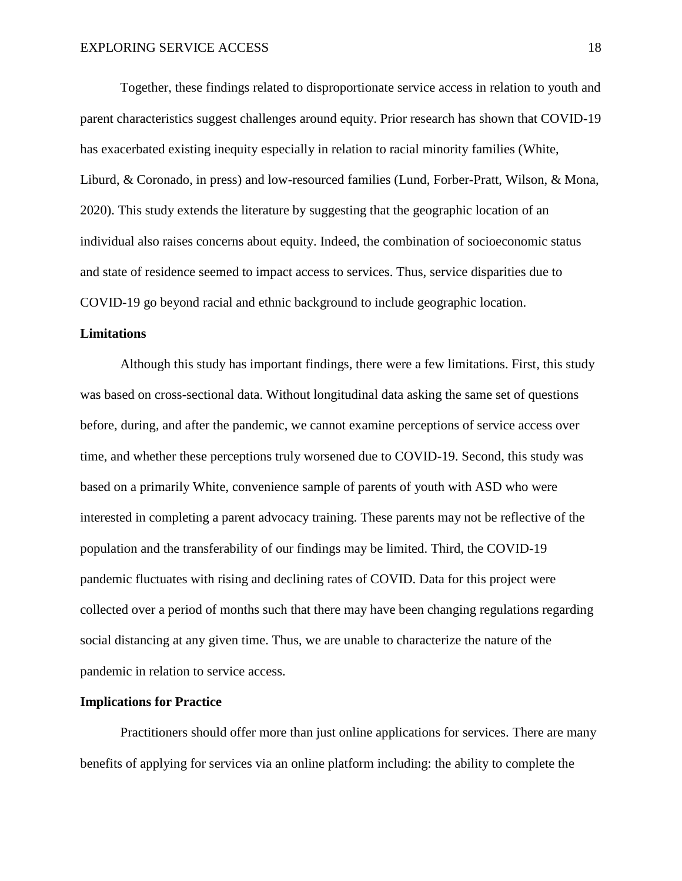Together, these findings related to disproportionate service access in relation to youth and parent characteristics suggest challenges around equity. Prior research has shown that COVID-19 has exacerbated existing inequity especially in relation to racial minority families (White, Liburd, & Coronado, in press) and low-resourced families (Lund, Forber-Pratt, Wilson, & Mona, 2020). This study extends the literature by suggesting that the geographic location of an individual also raises concerns about equity. Indeed, the combination of socioeconomic status and state of residence seemed to impact access to services. Thus, service disparities due to COVID-19 go beyond racial and ethnic background to include geographic location.

#### **Limitations**

Although this study has important findings, there were a few limitations. First, this study was based on cross-sectional data. Without longitudinal data asking the same set of questions before, during, and after the pandemic, we cannot examine perceptions of service access over time, and whether these perceptions truly worsened due to COVID-19. Second, this study was based on a primarily White, convenience sample of parents of youth with ASD who were interested in completing a parent advocacy training. These parents may not be reflective of the population and the transferability of our findings may be limited. Third, the COVID-19 pandemic fluctuates with rising and declining rates of COVID. Data for this project were collected over a period of months such that there may have been changing regulations regarding social distancing at any given time. Thus, we are unable to characterize the nature of the pandemic in relation to service access.

#### **Implications for Practice**

Practitioners should offer more than just online applications for services. There are many benefits of applying for services via an online platform including: the ability to complete the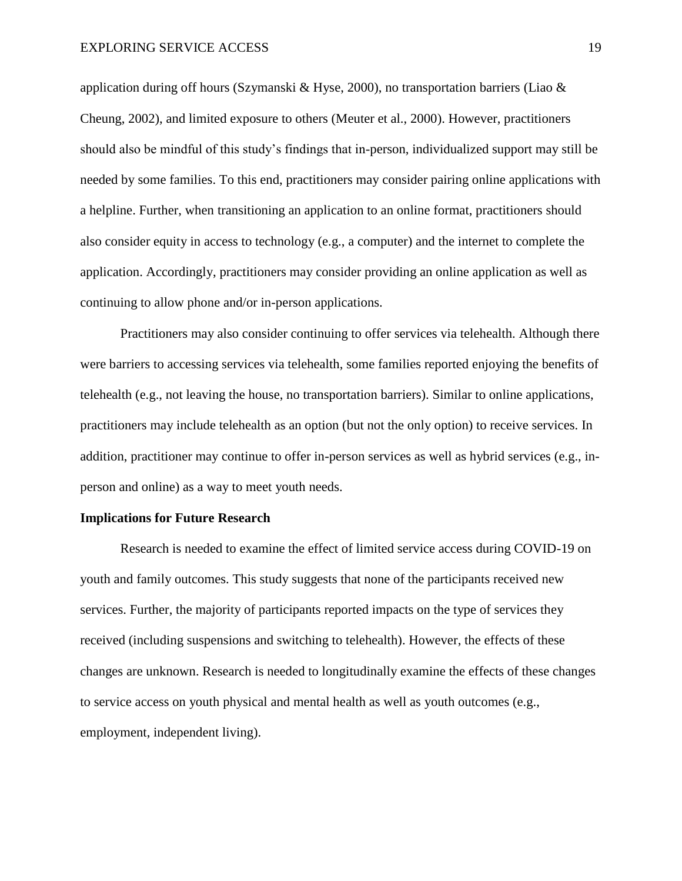application during off hours (Szymanski & Hyse, 2000), no transportation barriers (Liao & Cheung, 2002), and limited exposure to others (Meuter et al., 2000). However, practitioners should also be mindful of this study's findings that in-person, individualized support may still be needed by some families. To this end, practitioners may consider pairing online applications with a helpline. Further, when transitioning an application to an online format, practitioners should also consider equity in access to technology (e.g., a computer) and the internet to complete the application. Accordingly, practitioners may consider providing an online application as well as continuing to allow phone and/or in-person applications.

Practitioners may also consider continuing to offer services via telehealth. Although there were barriers to accessing services via telehealth, some families reported enjoying the benefits of telehealth (e.g., not leaving the house, no transportation barriers). Similar to online applications, practitioners may include telehealth as an option (but not the only option) to receive services. In addition, practitioner may continue to offer in-person services as well as hybrid services (e.g., inperson and online) as a way to meet youth needs.

#### **Implications for Future Research**

Research is needed to examine the effect of limited service access during COVID-19 on youth and family outcomes. This study suggests that none of the participants received new services. Further, the majority of participants reported impacts on the type of services they received (including suspensions and switching to telehealth). However, the effects of these changes are unknown. Research is needed to longitudinally examine the effects of these changes to service access on youth physical and mental health as well as youth outcomes (e.g., employment, independent living).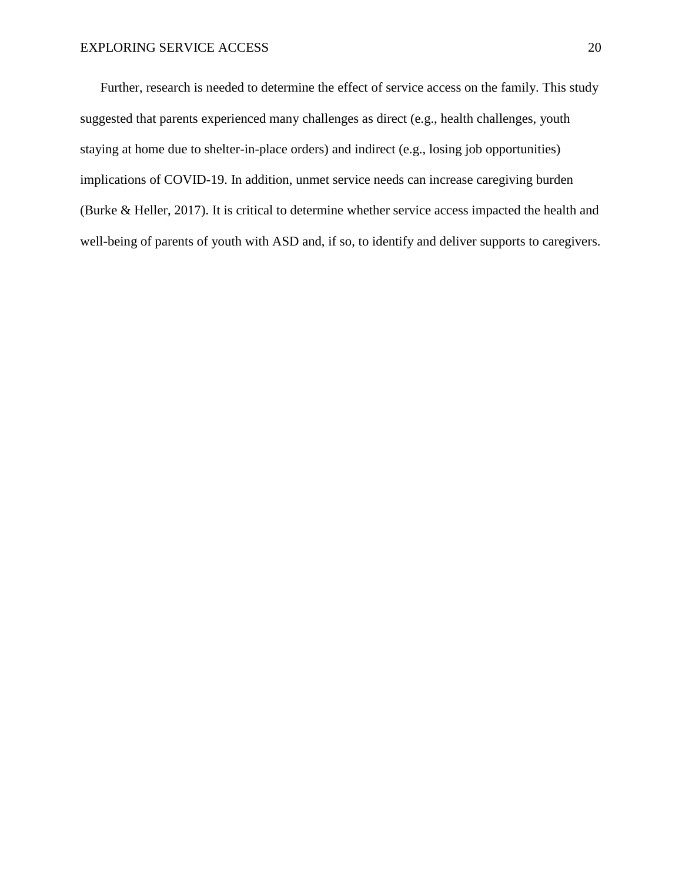Further, research is needed to determine the effect of service access on the family. This study suggested that parents experienced many challenges as direct (e.g., health challenges, youth staying at home due to shelter-in-place orders) and indirect (e.g., losing job opportunities) implications of COVID-19. In addition, unmet service needs can increase caregiving burden (Burke & Heller, 2017). It is critical to determine whether service access impacted the health and well-being of parents of youth with ASD and, if so, to identify and deliver supports to caregivers.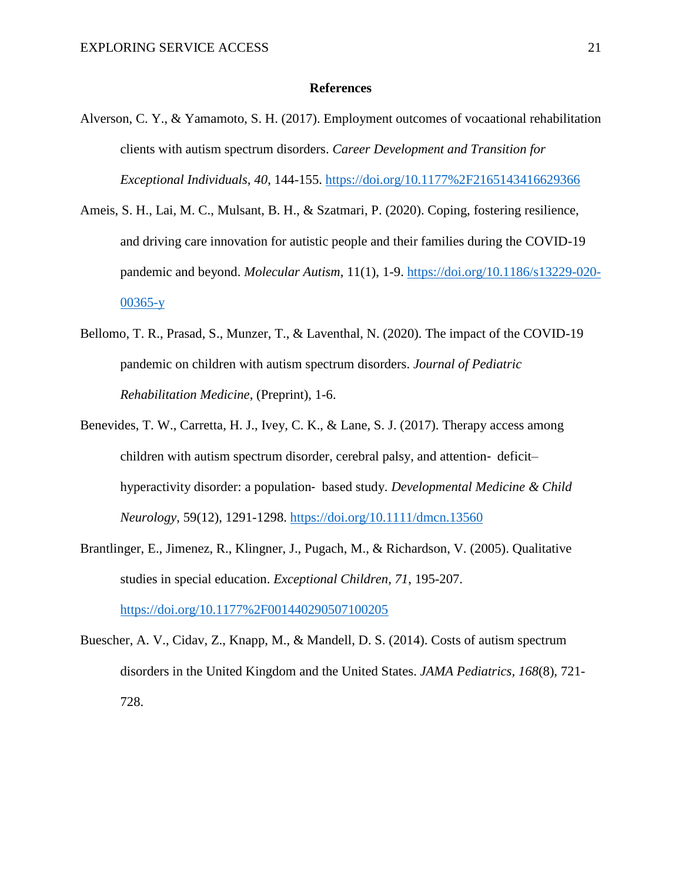#### **References**

- Alverson, C. Y., & Yamamoto, S. H. (2017). Employment outcomes of vocaational rehabilitation clients with autism spectrum disorders. *Career Development and Transition for Exceptional Individuals, 40*, 144-155. <https://doi.org/10.1177%2F2165143416629366>
- Ameis, S. H., Lai, M. C., Mulsant, B. H., & Szatmari, P. (2020). Coping, fostering resilience, and driving care innovation for autistic people and their families during the COVID-19 pandemic and beyond. *Molecular Autism*, 11(1), 1-9. [https://doi.org/10.1186/s13229-020-](https://doi.org/10.1186/s13229-020-00365-y) [00365-y](https://doi.org/10.1186/s13229-020-00365-y)
- Bellomo, T. R., Prasad, S., Munzer, T., & Laventhal, N. (2020). The impact of the COVID-19 pandemic on children with autism spectrum disorders. *Journal of Pediatric Rehabilitation Medicine*, (Preprint), 1-6.
- Benevides, T. W., Carretta, H. J., Ivey, C. K., & Lane, S. J. (2017). Therapy access among children with autism spectrum disorder, cerebral palsy, and attention‐ deficit– hyperactivity disorder: a population‐ based study. *Developmental Medicine & Child Neurology*, 59(12), 1291-1298. <https://doi.org/10.1111/dmcn.13560>
- Brantlinger, E., Jimenez, R., Klingner, J., Pugach, M., & Richardson, V. (2005). Qualitative studies in special education. *Exceptional Children, 71*, 195-207. <https://doi.org/10.1177%2F001440290507100205>
- Buescher, A. V., Cidav, Z., Knapp, M., & Mandell, D. S. (2014). Costs of autism spectrum disorders in the United Kingdom and the United States. *JAMA Pediatrics, 168*(8), 721- 728.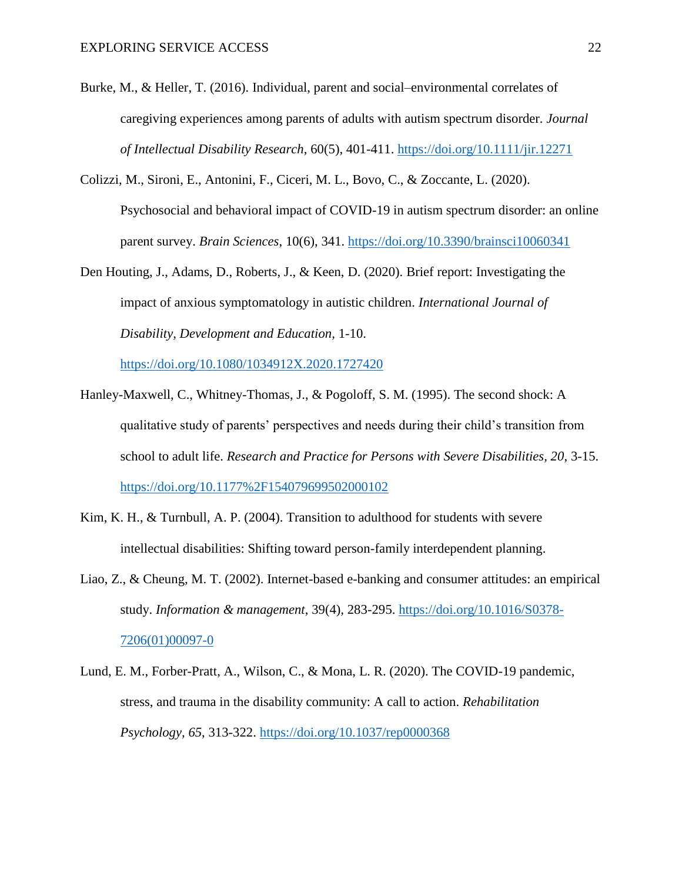- Burke, M., & Heller, T. (2016). Individual, parent and social–environmental correlates of caregiving experiences among parents of adults with autism spectrum disorder. *Journal of Intellectual Disability Research*, 60(5), 401-411. <https://doi.org/10.1111/jir.12271>
- Colizzi, M., Sironi, E., Antonini, F., Ciceri, M. L., Bovo, C., & Zoccante, L. (2020). Psychosocial and behavioral impact of COVID-19 in autism spectrum disorder: an online parent survey. *Brain Sciences*, 10(6), 341. <https://doi.org/10.3390/brainsci10060341>
- Den Houting, J., Adams, D., Roberts, J., & Keen, D. (2020). Brief report: Investigating the impact of anxious symptomatology in autistic children. *International Journal of Disability, Development and Education,* 1-10.

<https://doi.org/10.1080/1034912X.2020.1727420>

- Hanley-Maxwell, C., Whitney-Thomas, J., & Pogoloff, S. M. (1995). The second shock: A qualitative study of parents' perspectives and needs during their child's transition from school to adult life. *Research and Practice for Persons with Severe Disabilities, 20*, 3-15. <https://doi.org/10.1177%2F154079699502000102>
- Kim, K. H., & Turnbull, A. P. (2004). Transition to adulthood for students with severe intellectual disabilities: Shifting toward person-family interdependent planning.
- Liao, Z., & Cheung, M. T. (2002). Internet-based e-banking and consumer attitudes: an empirical study. *Information & management*, 39(4), 283-295. [https://doi.org/10.1016/S0378-](https://doi.org/10.1016/S0378-7206(01)00097-0) [7206\(01\)00097-0](https://doi.org/10.1016/S0378-7206(01)00097-0)
- Lund, E. M., Forber-Pratt, A., Wilson, C., & Mona, L. R. (2020). The COVID-19 pandemic, stress, and trauma in the disability community: A call to action. *Rehabilitation Psychology, 65*, 313-322.<https://doi.org/10.1037/rep0000368>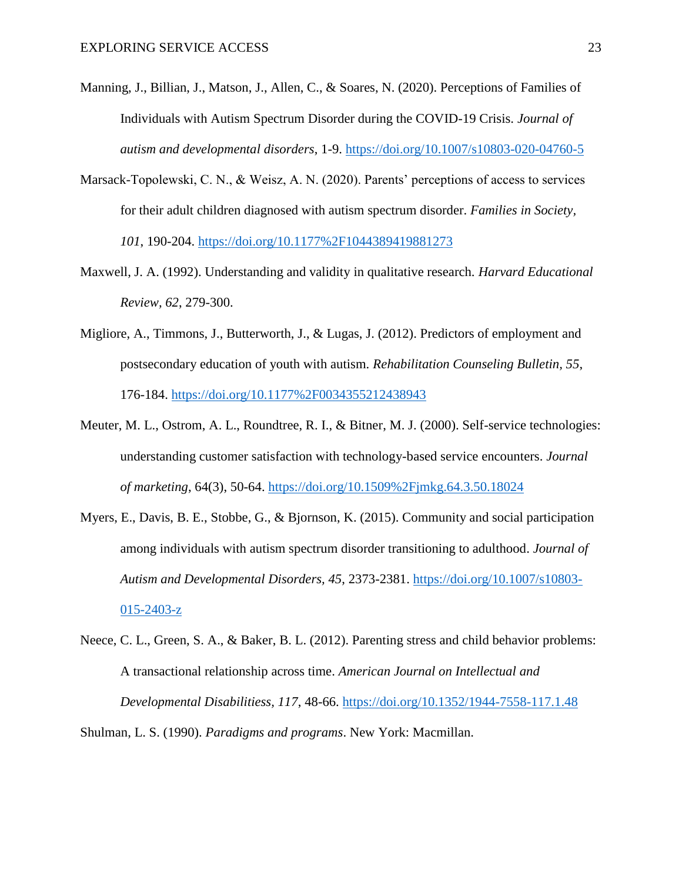- Manning, J., Billian, J., Matson, J., Allen, C., & Soares, N. (2020). Perceptions of Families of Individuals with Autism Spectrum Disorder during the COVID-19 Crisis. *Journal of autism and developmental disorders*, 1-9. <https://doi.org/10.1007/s10803-020-04760-5>
- Marsack-Topolewski, C. N., & Weisz, A. N. (2020). Parents' perceptions of access to services for their adult children diagnosed with autism spectrum disorder. *Families in Society, 101*, 190-204.<https://doi.org/10.1177%2F1044389419881273>
- Maxwell, J. A. (1992). Understanding and validity in qualitative research. *Harvard Educational Review, 62*, 279-300.
- Migliore, A., Timmons, J., Butterworth, J., & Lugas, J. (2012). Predictors of employment and postsecondary education of youth with autism. *Rehabilitation Counseling Bulletin, 55*, 176-184.<https://doi.org/10.1177%2F0034355212438943>
- Meuter, M. L., Ostrom, A. L., Roundtree, R. I., & Bitner, M. J. (2000). Self-service technologies: understanding customer satisfaction with technology-based service encounters. *Journal of marketing*, 64(3), 50-64. <https://doi.org/10.1509%2Fjmkg.64.3.50.18024>
- Myers, E., Davis, B. E., Stobbe, G., & Bjornson, K. (2015). Community and social participation among individuals with autism spectrum disorder transitioning to adulthood. *Journal of Autism and Developmental Disorders, 45*, 2373-2381. [https://doi.org/10.1007/s10803-](https://doi.org/10.1007/s10803-015-2403-z) [015-2403-z](https://doi.org/10.1007/s10803-015-2403-z)
- Neece, C. L., Green, S. A., & Baker, B. L. (2012). Parenting stress and child behavior problems: A transactional relationship across time. *American Journal on Intellectual and Developmental Disabilitiess, 117*, 48-66.<https://doi.org/10.1352/1944-7558-117.1.48>

Shulman, L. S. (1990). *Paradigms and programs*. New York: Macmillan.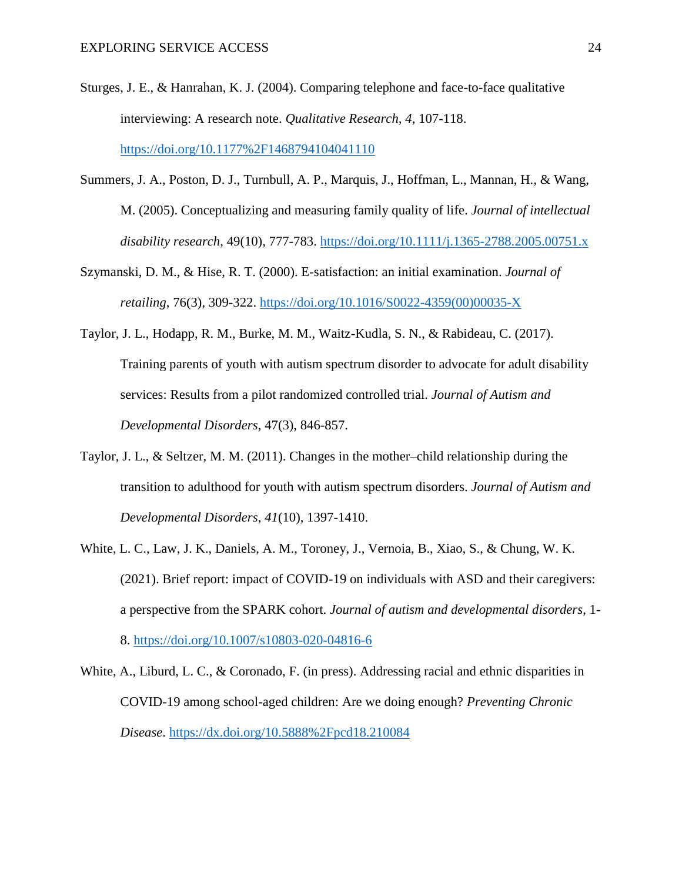- Sturges, J. E., & Hanrahan, K. J. (2004). Comparing telephone and face-to-face qualitative interviewing: A research note. *Qualitative Research, 4*, 107-118. <https://doi.org/10.1177%2F1468794104041110>
- Summers, J. A., Poston, D. J., Turnbull, A. P., Marquis, J., Hoffman, L., Mannan, H., & Wang, M. (2005). Conceptualizing and measuring family quality of life. *Journal of intellectual disability research*, 49(10), 777-783. <https://doi.org/10.1111/j.1365-2788.2005.00751.x>
- Szymanski, D. M., & Hise, R. T. (2000). E-satisfaction: an initial examination. *Journal of retailing*, 76(3), 309-322. [https://doi.org/10.1016/S0022-4359\(00\)00035-X](https://doi.org/10.1016/S0022-4359(00)00035-X)
- Taylor, J. L., Hodapp, R. M., Burke, M. M., Waitz-Kudla, S. N., & Rabideau, C. (2017). Training parents of youth with autism spectrum disorder to advocate for adult disability services: Results from a pilot randomized controlled trial. *Journal of Autism and Developmental Disorders*, 47(3), 846-857.
- Taylor, J. L., & Seltzer, M. M. (2011). Changes in the mother–child relationship during the transition to adulthood for youth with autism spectrum disorders. *Journal of Autism and Developmental Disorders*, *41*(10), 1397-1410.
- White, L. C., Law, J. K., Daniels, A. M., Toroney, J., Vernoia, B., Xiao, S., & Chung, W. K. (2021). Brief report: impact of COVID-19 on individuals with ASD and their caregivers: a perspective from the SPARK cohort. *Journal of autism and developmental disorders*, 1- 8. <https://doi.org/10.1007/s10803-020-04816-6>
- White, A., Liburd, L. C., & Coronado, F. (in press). Addressing racial and ethnic disparities in COVID-19 among school-aged children: Are we doing enough? *Preventing Chronic Disease*.<https://dx.doi.org/10.5888%2Fpcd18.210084>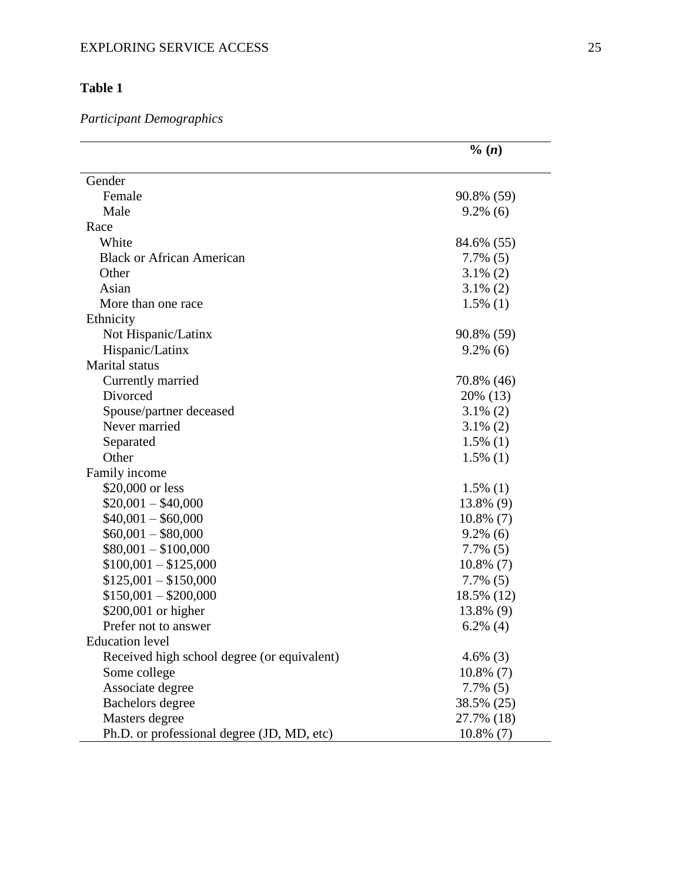# **Table 1**

#### *Participant Demographic s*

|                                             | $\% (n)$     |
|---------------------------------------------|--------------|
| Gender                                      |              |
| Female                                      | 90.8% (59)   |
| Male                                        | $9.2\%$ (6)  |
| Race                                        |              |
| White                                       | 84.6% (55)   |
| <b>Black or African American</b>            | $7.7\%$ (5)  |
| Other                                       | $3.1\%$ (2)  |
| Asian                                       | $3.1\%$ (2)  |
| More than one race                          | $1.5\%$ (1)  |
| Ethnicity                                   |              |
| Not Hispanic/Latinx                         | 90.8% (59)   |
| Hispanic/Latinx                             | $9.2\%$ (6)  |
| <b>Marital</b> status                       |              |
| Currently married                           | 70.8% (46)   |
| Divorced                                    | 20% (13)     |
| Spouse/partner deceased                     | $3.1\%$ (2)  |
| Never married                               | $3.1\%$ (2)  |
| Separated                                   | $1.5\%$ (1)  |
| Other                                       | $1.5\%$ (1)  |
| Family income                               |              |
| \$20,000 or less                            | $1.5\%$ (1)  |
| $$20,001 - $40,000$                         | 13.8% (9)    |
| $$40,001 - $60,000$                         | $10.8\%$ (7) |
| $$60,001 - $80,000$                         | $9.2\%$ (6)  |
| $$80,001 - $100,000$                        | $7.7\%$ (5)  |
| $$100,001 - $125,000$                       | $10.8\%$ (7) |
| $$125,001 - $150,000$                       | $7.7\%$ (5)  |
| $$150,001 - $200,000$                       | 18.5% (12)   |
| \$200,001 or higher                         | 13.8% (9)    |
| Prefer not to answer                        | $6.2\%$ (4)  |
| <b>Education</b> level                      |              |
| Received high school degree (or equivalent) | $4.6\%$ (3)  |
| Some college                                | $10.8\%$ (7) |
| Associate degree                            | $7.7\%$ (5)  |
| <b>Bachelors</b> degree                     | 38.5% (25)   |
| Masters degree                              | 27.7% (18)   |
| Ph.D. or professional degree (JD, MD, etc)  | $10.8\%$ (7) |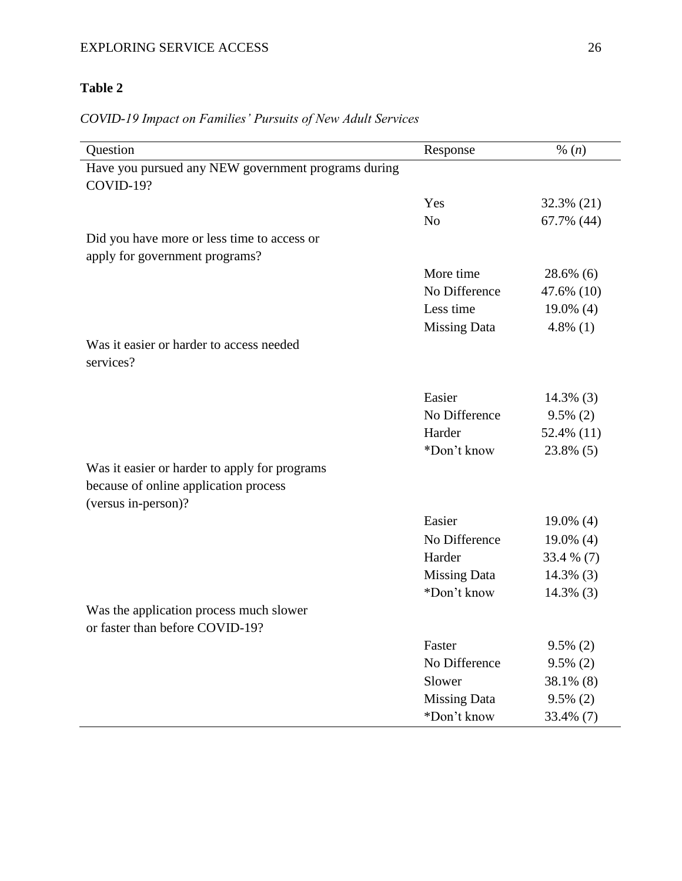# EXPLORING SERVICE ACCESS 26

# **Table 2**

# *COVID-19 Impact on Families' Pursuits of New Adult Services*

| Question                                            | Response            | % $(n)$      |
|-----------------------------------------------------|---------------------|--------------|
| Have you pursued any NEW government programs during |                     |              |
| COVID-19?                                           |                     |              |
|                                                     | Yes                 | 32.3% (21)   |
|                                                     | N <sub>o</sub>      | 67.7% (44)   |
| Did you have more or less time to access or         |                     |              |
| apply for government programs?                      |                     |              |
|                                                     | More time           | $28.6\%$ (6) |
|                                                     | No Difference       | 47.6% (10)   |
|                                                     | Less time           | $19.0\%$ (4) |
|                                                     | <b>Missing Data</b> | 4.8% $(1)$   |
| Was it easier or harder to access needed            |                     |              |
| services?                                           |                     |              |
|                                                     |                     |              |
|                                                     | Easier              | $14.3\%$ (3) |
|                                                     | No Difference       | $9.5\%$ (2)  |
|                                                     | Harder              | 52.4% (11)   |
|                                                     | *Don't know         | 23.8% (5)    |
| Was it easier or harder to apply for programs       |                     |              |
| because of online application process               |                     |              |
| (versus in-person)?                                 |                     |              |
|                                                     | Easier              | $19.0\%$ (4) |
|                                                     | No Difference       | $19.0\%$ (4) |
|                                                     | Harder              | 33.4 % (7)   |
|                                                     | <b>Missing Data</b> | $14.3\%$ (3) |
|                                                     | *Don't know         | $14.3\%$ (3) |
| Was the application process much slower             |                     |              |
| or faster than before COVID-19?                     |                     |              |
|                                                     | Faster              | $9.5\%$ (2)  |
|                                                     | No Difference       | $9.5\%$ (2)  |
|                                                     | Slower              | 38.1% (8)    |
|                                                     | <b>Missing Data</b> | $9.5\%$ (2)  |
|                                                     | *Don't know         | 33.4% (7)    |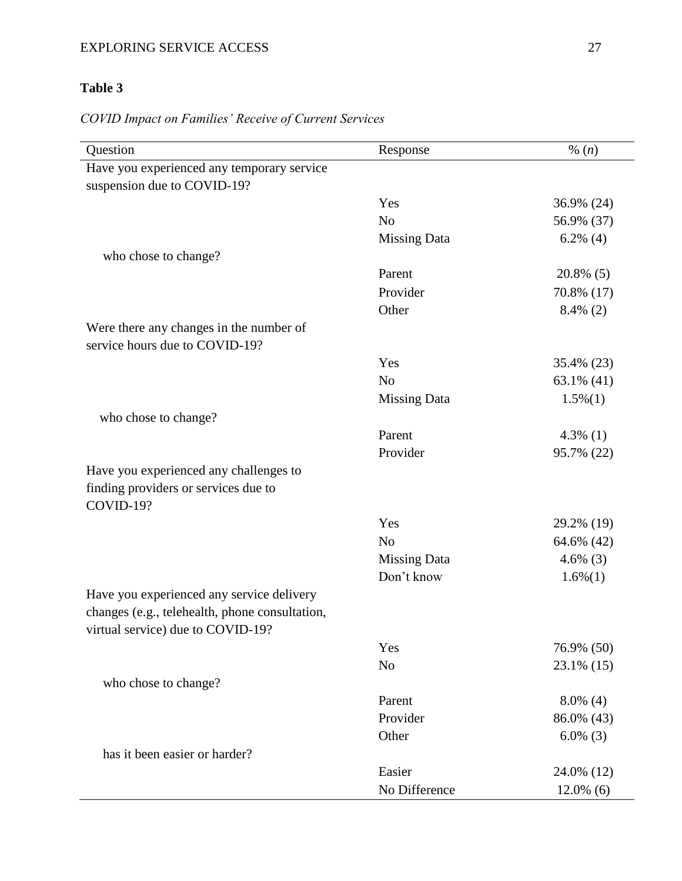### EXPLORING SERVICE ACCESS 27

# **Table 3**

# *COVID Impact on Families' Receive of Current Services*

| Question                                       | Response            | % $(n)$      |
|------------------------------------------------|---------------------|--------------|
| Have you experienced any temporary service     |                     |              |
| suspension due to COVID-19?                    |                     |              |
|                                                | Yes                 | 36.9% (24)   |
|                                                | N <sub>o</sub>      | 56.9% (37)   |
|                                                | <b>Missing Data</b> | $6.2\%$ (4)  |
| who chose to change?                           |                     |              |
|                                                | Parent              | $20.8\%$ (5) |
|                                                | Provider            | 70.8% (17)   |
|                                                | Other               | $8.4\%$ (2)  |
| Were there any changes in the number of        |                     |              |
| service hours due to COVID-19?                 |                     |              |
|                                                | Yes                 | 35.4% (23)   |
|                                                | N <sub>o</sub>      | 63.1% $(41)$ |
|                                                | <b>Missing Data</b> | $1.5\%(1)$   |
| who chose to change?                           |                     |              |
|                                                | Parent              | 4.3% $(1)$   |
|                                                | Provider            | 95.7% (22)   |
| Have you experienced any challenges to         |                     |              |
| finding providers or services due to           |                     |              |
| COVID-19?                                      |                     |              |
|                                                | Yes                 | 29.2% (19)   |
|                                                | N <sub>o</sub>      | 64.6% (42)   |
|                                                | <b>Missing Data</b> | 4.6% $(3)$   |
|                                                | Don't know          | $1.6\%(1)$   |
| Have you experienced any service delivery      |                     |              |
| changes (e.g., telehealth, phone consultation, |                     |              |
| virtual service) due to COVID-19?              |                     |              |
|                                                | Yes                 | 76.9% (50)   |
|                                                | N <sub>o</sub>      | 23.1% (15)   |
| who chose to change?                           |                     |              |
|                                                | Parent              | $8.0\%$ (4)  |
|                                                | Provider            | 86.0% (43)   |
|                                                | Other               | $6.0\%$ (3)  |
| has it been easier or harder?                  |                     |              |
|                                                | Easier              | 24.0% (12)   |
|                                                | No Difference       | $12.0\%$ (6) |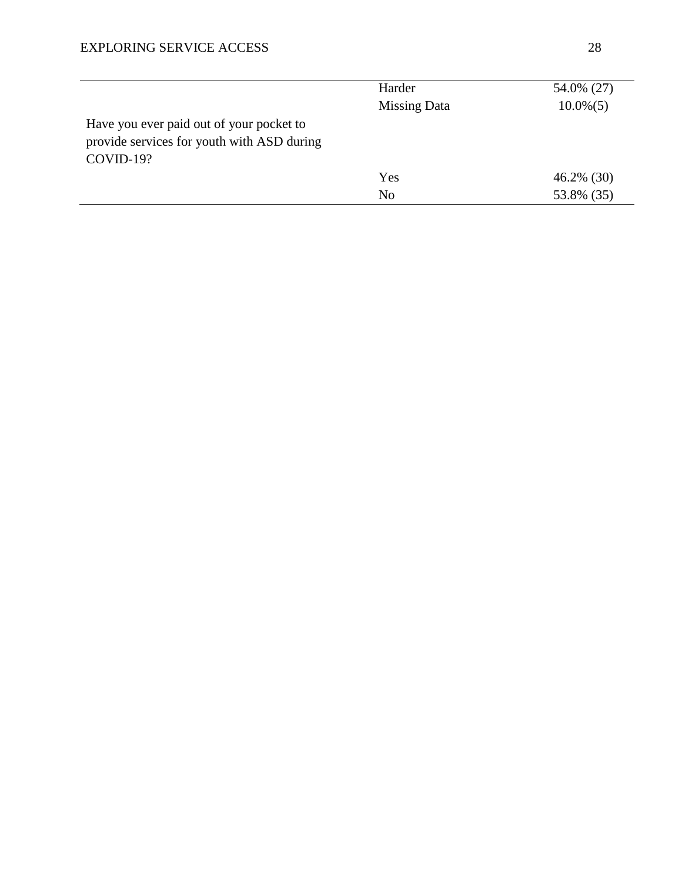|                                            | Harder              | 54.0% (27)    |
|--------------------------------------------|---------------------|---------------|
|                                            | <b>Missing Data</b> | $10.0\% (5)$  |
| Have you ever paid out of your pocket to   |                     |               |
| provide services for youth with ASD during |                     |               |
| COVID-19?                                  |                     |               |
|                                            | Yes                 | $46.2\%$ (30) |
|                                            | N <sub>o</sub>      | 53.8% (35)    |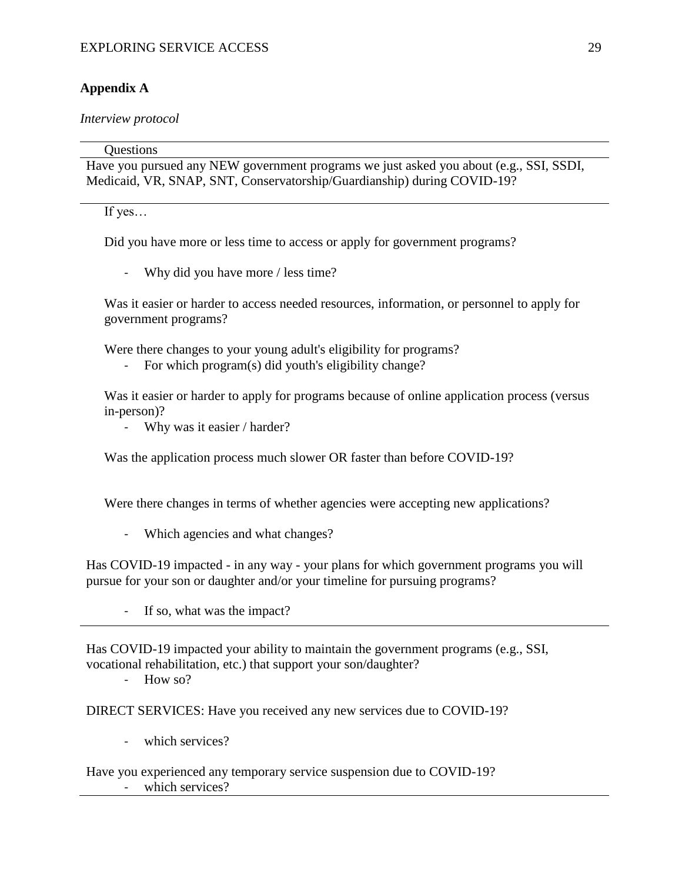### **Appendix A**

*Interview protocol*

**Ouestions** Have you pursued any NEW government programs we just asked you about (e.g., SSI, SSDI, Medicaid, VR, SNAP, SNT, Conservatorship/Guardianship) during COVID-19?

If yes…

Did you have more or less time to access or apply for government programs?

- Why did you have more / less time?

Was it easier or harder to access needed resources, information, or personnel to apply for government programs?

Were there changes to your young adult's eligibility for programs?

For which program(s) did youth's eligibility change?

Was it easier or harder to apply for programs because of online application process (versus in-person)?

- Why was it easier / harder?

Was the application process much slower OR faster than before COVID-19?

Were there changes in terms of whether agencies were accepting new applications?

Which agencies and what changes?

Has COVID-19 impacted - in any way - your plans for which government programs you will pursue for your son or daughter and/or your timeline for pursuing programs?

If so, what was the impact?

Has COVID-19 impacted your ability to maintain the government programs (e.g., SSI, vocational rehabilitation, etc.) that support your son/daughter?

- How so?

DIRECT SERVICES: Have you received any new services due to COVID-19?

- which services?
- Have you experienced any temporary service suspension due to COVID-19? which services?